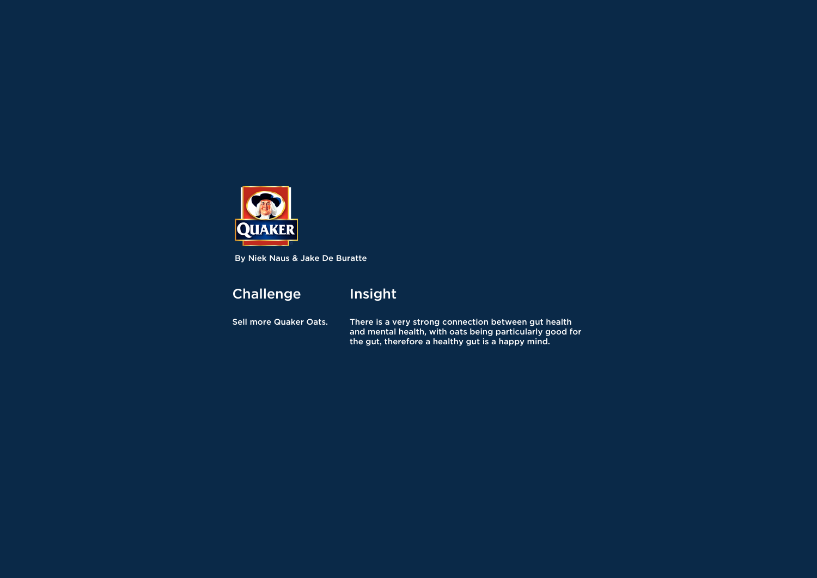Sell more Quaker Oats.

## Insight

There is a very strong connection between gut health and mental health, with oats being particularly good for the gut, therefore a healthy gut is a happy mind.



By Niek Naus & Jake De Buratte

## **Challenge**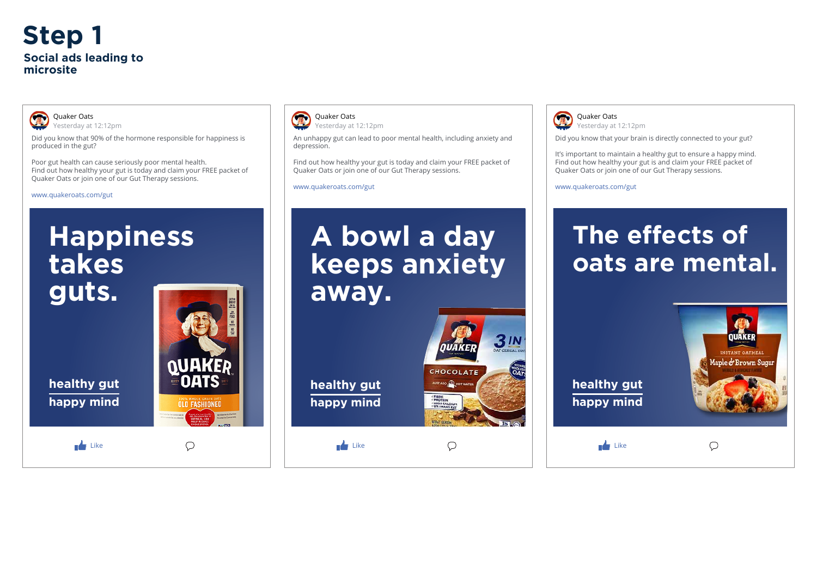

Did you know that 90% of the hormone responsible for happiness is produced in the gut?

Quaker Oats Yesterday at 12:12pm

Poor gut health can cause seriously poor mental health. Find out how healthy your gut is today and claim your FREE packet of Quaker Oats or join one of our Gut Therapy sessions.

www.quakeroats.com/gut

 $\blacksquare$  Like



**OLD FASHIONED** 

 $\bigcirc$ 



An unhappy gut can lead to poor mental health, including anxiety and depression.

Find out how healthy your gut is today and claim your FREE packet of Quaker Oats or join one of our Gut Therapy sessions.

www.quakeroats.com/gut

# **A bowl a day keeps anxiety away.**

**healthy gut happy mind**

 $\mathbf{L}$  Like



 $\bigcirc$ 



#### Yesterday at 12:12pm

Did you know that your brain is directly connected to your gut?

It's important to maintain a healthy gut to ensure a happy mind. Find out how healthy your gut is and claim your FREE packet of Quaker Oats or join one of our Gut Therapy sessions.

www.quakeroats.com/gut

## **The effects of oats are mental.**







**healthy gut happy mind**

 $\mathbf{L}$  Like

## **Step 1 Social ads leading to microsite**



#### Quaker Oats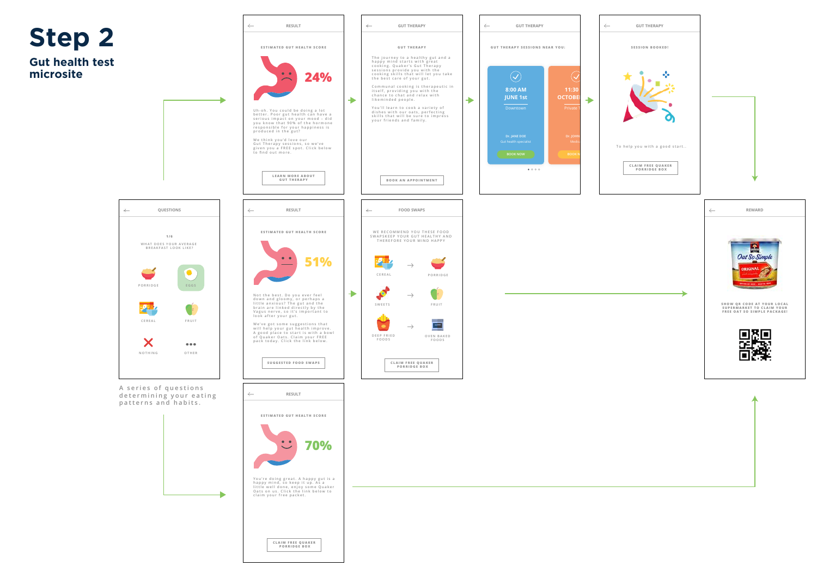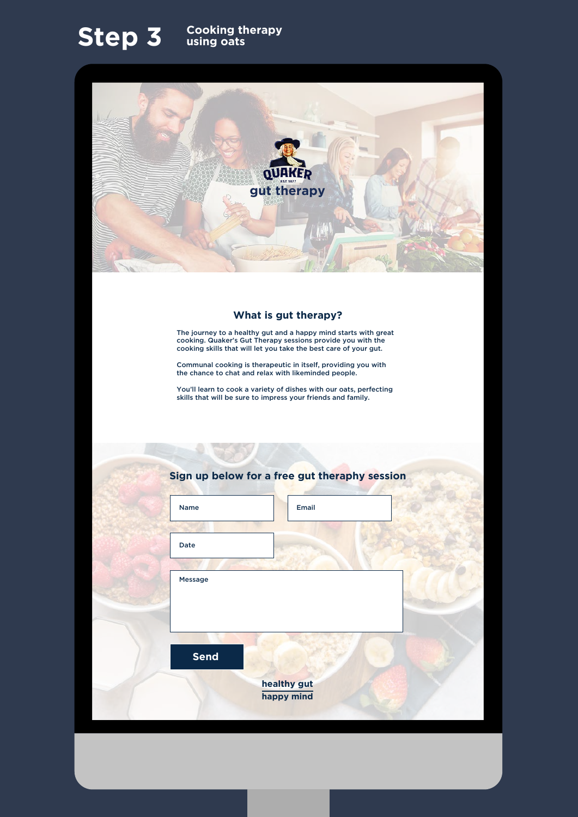#### **What is gut therapy?**

The journey to a healthy gut and a happy mind starts with great cooking. Quaker's Gut Therapy sessions provide you with the cooking skills that will let you take the best care of your gut.

Communal cooking is therapeutic in itself, providing you with the chance to chat and relax with likeminded people.

You'll learn to cook a variety of dishes with our oats, perfecting skills that will be sure to impress your friends and family.

### **Step 3 Cooking therapy**<br>using oats





### **Sign up below for a free gut theraphy session**

| Name           | Email |  |
|----------------|-------|--|
|                |       |  |
| Date           |       |  |
|                |       |  |
| <b>Message</b> |       |  |
|                |       |  |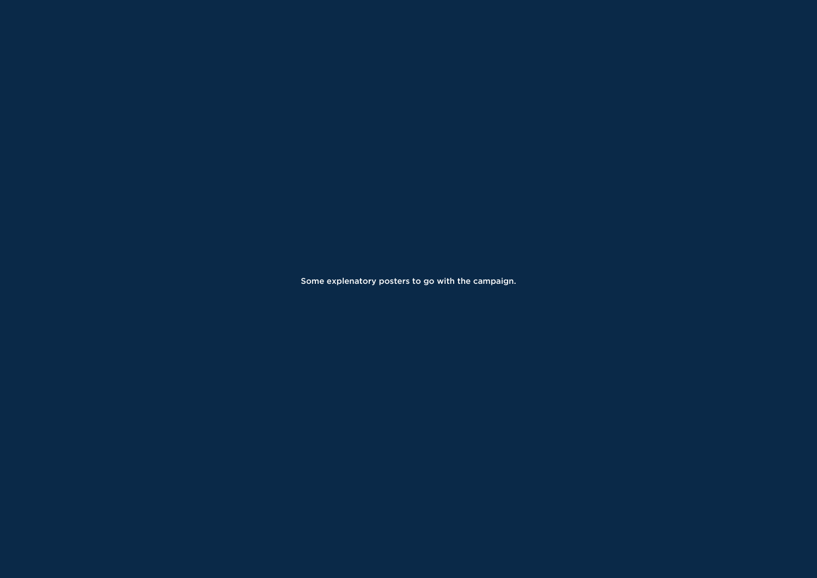Some explenatory posters to go with the campaign.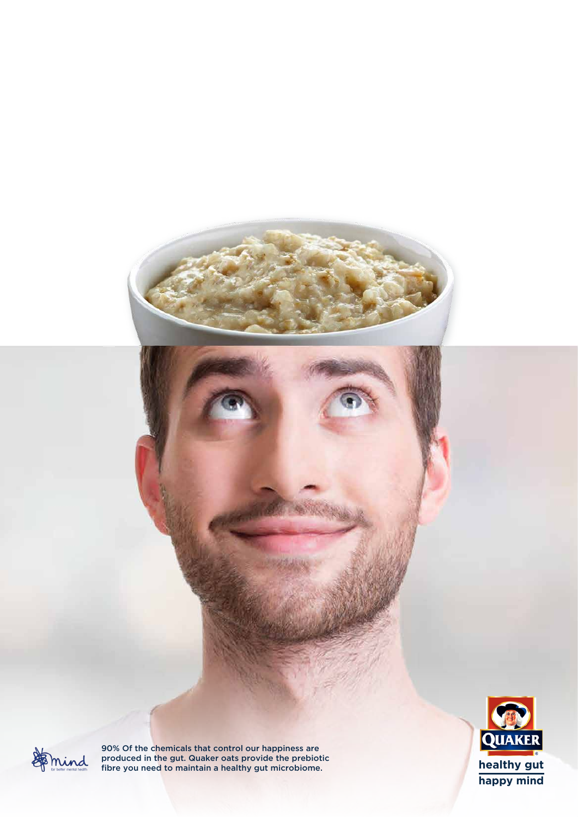



90% Of the chemicals that control our happiness are produced in the gut. Quaker oats provide the prebiotic **health is a set of the set of the set of the set of the set of the set of the set of the set of the set of the set of the set of the set of the set of the set of the** 

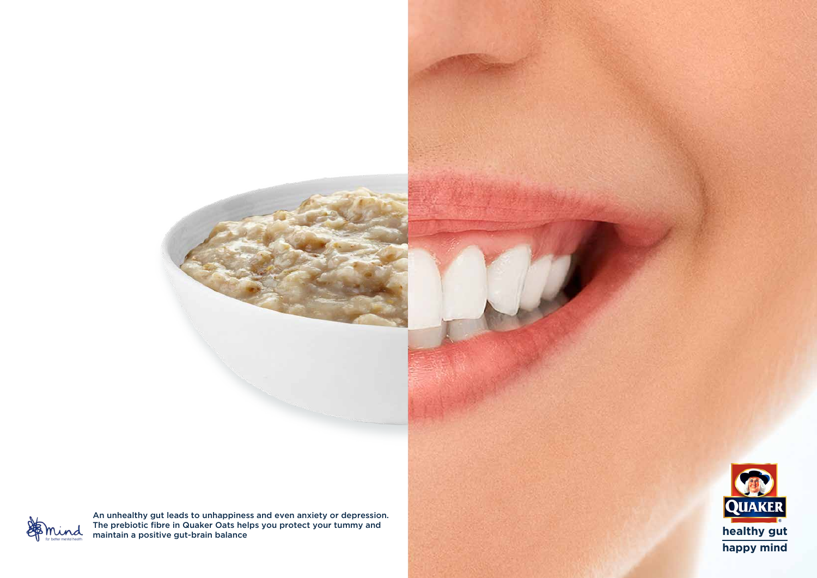

An unhealthy gut leads to unhappiness and even anxiety or depression. The prebiotic fibre in Quaker Oats helps you protect your tummy and maintain a positive gut-brain balance **healthy gut**